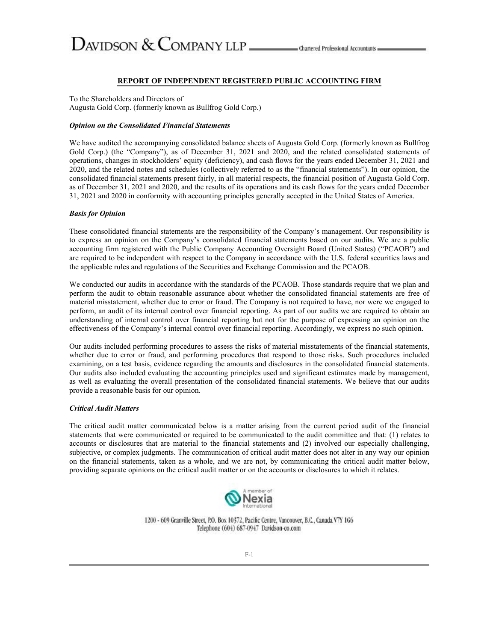#### **REPORT OF INDEPENDENT REGISTERED PUBLIC ACCOUNTING FIRM**

To the Shareholders and Directors of Augusta Gold Corp. (formerly known as Bullfrog Gold Corp.)

### *Opinion on the Consolidated Financial Statements*

We have audited the accompanying consolidated balance sheets of Augusta Gold Corp. (formerly known as Bullfrog Gold Corp.) (the "Company"), as of December 31, 2021 and 2020, and the related consolidated statements of operations, changes in stockholders' equity (deficiency), and cash flows for the years ended December 31, 2021 and 2020, and the related notes and schedules (collectively referred to as the "financial statements"). In our opinion, the consolidated financial statements present fairly, in all material respects, the financial position of Augusta Gold Corp. as of December 31, 2021 and 2020, and the results of its operations and its cash flows for the years ended December 31, 2021 and 2020 in conformity with accounting principles generally accepted in the United States of America.

#### *Basis for Opinion*

These consolidated financial statements are the responsibility of the Company's management. Our responsibility is to express an opinion on the Company's consolidated financial statements based on our audits. We are a public accounting firm registered with the Public Company Accounting Oversight Board (United States) ("PCAOB") and are required to be independent with respect to the Company in accordance with the U.S. federal securities laws and the applicable rules and regulations of the Securities and Exchange Commission and the PCAOB.

We conducted our audits in accordance with the standards of the PCAOB. Those standards require that we plan and perform the audit to obtain reasonable assurance about whether the consolidated financial statements are free of material misstatement, whether due to error or fraud. The Company is not required to have, nor were we engaged to perform, an audit of its internal control over financial reporting. As part of our audits we are required to obtain an understanding of internal control over financial reporting but not for the purpose of expressing an opinion on the effectiveness of the Company's internal control over financial reporting. Accordingly, we express no such opinion.

Our audits included performing procedures to assess the risks of material misstatements of the financial statements, whether due to error or fraud, and performing procedures that respond to those risks. Such procedures included examining, on a test basis, evidence regarding the amounts and disclosures in the consolidated financial statements. Our audits also included evaluating the accounting principles used and significant estimates made by management, as well as evaluating the overall presentation of the consolidated financial statements. We believe that our audits provide a reasonable basis for our opinion.

#### *Critical Audit Matters*

The critical audit matter communicated below is a matter arising from the current period audit of the financial statements that were communicated or required to be communicated to the audit committee and that: (1) relates to accounts or disclosures that are material to the financial statements and (2) involved our especially challenging, subjective, or complex judgments. The communication of critical audit matter does not alter in any way our opinion on the financial statements, taken as a whole, and we are not, by communicating the critical audit matter below, providing separate opinions on the critical audit matter or on the accounts or disclosures to which it relates.



1200 - 609 Granville Street, P.O. Box 10372, Pacific Centre, Vancouver, B.C., Canada V7Y 1G6 Telephone (604) 687-0947 Davidson-co.com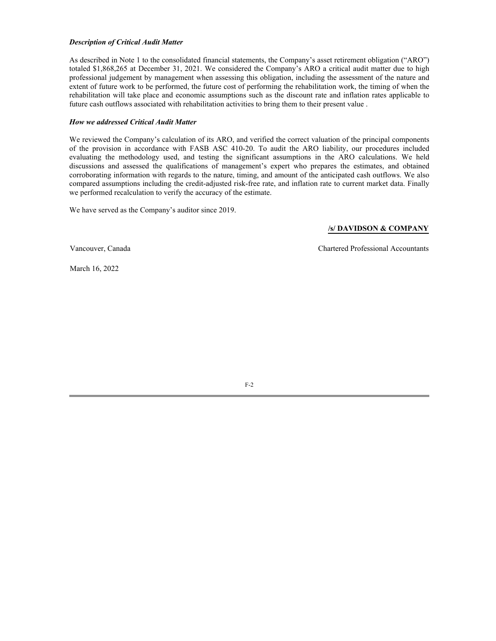### *Description of Critical Audit Matter*

As described in Note 1 to the consolidated financial statements, the Company's asset retirement obligation ("ARO") totaled \$1,868,265 at December 31, 2021. We considered the Company's ARO a critical audit matter due to high professional judgement by management when assessing this obligation, including the assessment of the nature and extent of future work to be performed, the future cost of performing the rehabilitation work, the timing of when the rehabilitation will take place and economic assumptions such as the discount rate and inflation rates applicable to future cash outflows associated with rehabilitation activities to bring them to their present value .

#### *How we addressed Critical Audit Matter*

We reviewed the Company's calculation of its ARO, and verified the correct valuation of the principal components of the provision in accordance with FASB ASC 410-20. To audit the ARO liability, our procedures included evaluating the methodology used, and testing the significant assumptions in the ARO calculations. We held discussions and assessed the qualifications of management's expert who prepares the estimates, and obtained corroborating information with regards to the nature, timing, and amount of the anticipated cash outflows. We also compared assumptions including the credit-adjusted risk-free rate, and inflation rate to current market data. Finally we performed recalculation to verify the accuracy of the estimate.

We have served as the Company's auditor since 2019.

**/s/ DAVIDSON & COMPANY**

Vancouver, Canada Chartered Professional Accountants

March 16, 2022

#### F-2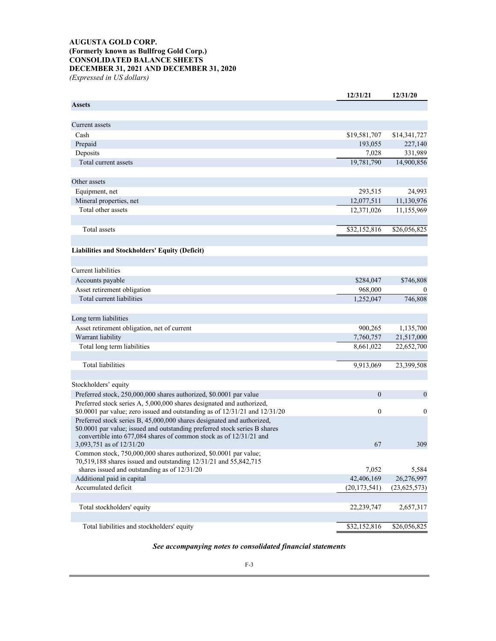### **AUGUSTA GOLD CORP. (Formerly known as Bullfrog Gold Corp.) CONSOLIDATED BALANCE SHEETS DECEMBER 31, 2021 AND DECEMBER 31, 2020** *(Expressed in US dollars)*

**12/31/21 12/31/20 Assets** Current assets Cash \$19,581,707 \$14,341,727 Prepaid 193,055 227,140 Deposits 7,028 331,989 Total current assets 19,781,790 14,900,856 Other assets Equipment, net 293,515 24,993 Mineral properties, net 12,077,511 11,130,976 Total other assets 12,371,026 11,155,969 Total assets  $$32,152,816$   $$26,056,825$ **Liabilities and Stockholders' Equity (Deficit)** Current liabilities Accounts payable  $$284,047$   $$746,808$ Asset retirement obligation 968,000 0 Total current liabilities 1,252,047 746,808 Long term liabilities Asset retirement obligation, net of current  $900,265$  1,135,700 Warrant liability 21,517,000 and 2012 12:517,000 and 2012 12:517,000 and 2012 12:517,000 and 2013 12:517,000 and 2013 12:517,000 and 2013 12:517,000 and 2013 12:517,000 and 2013 12:517,000 and 2013 12:517,000 and 2013 12:5 Total long term liabilities 8,661,022 22,652,700 Total liabilities 9,913,069 23,399,508 Stockholders' equity Preferred stock, 250,000,000 shares authorized, \$0.0001 par value 0 0 Preferred stock series A, 5,000,000 shares designated and authorized, \$0.0001 par value; zero issued and outstanding as of 12/31/21 and 12/31/20 0 0 Preferred stock series B, 45,000,000 shares designated and authorized, \$0.0001 par value; issued and outstanding preferred stock series B shares convertible into 677,084 shares of common stock as of 12/31/21 and  $3,093,751$  as of  $12/31/20$   $309$ Common stock, 750,000,000 shares authorized, \$0.0001 par value; 70,519,188 shares issued and outstanding 12/31/21 and 55,842,715 shares issued and outstanding as of  $12/31/20$  7,052 5,584 Additional paid in capital 42,406,169 26,276,997 Accumulated deficit (20,173,541) (23,625,573) Total stockholders' equity 22,239,747 2,657,317 Total liabilities and stockholders' equity  $\overline{\phantom{3}32,152,816}$   $\overline{\phantom{3}32,152,816}$   $\overline{\phantom{3}32,152,816}$ 

### *See accompanying notes to consolidated financial statements*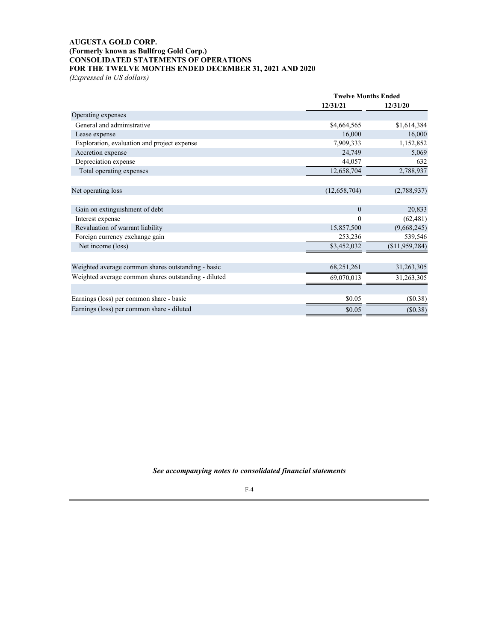## **AUGUSTA GOLD CORP. (Formerly known as Bullfrog Gold Corp.) CONSOLIDATED STATEMENTS OF OPERATIONS FOR THE TWELVE MONTHS ENDED DECEMBER 31, 2021 AND 2020**

*(Expressed in US dollars)*

|                                                      |              | <b>Twelve Months Ended</b> |  |
|------------------------------------------------------|--------------|----------------------------|--|
|                                                      | 12/31/21     | 12/31/20                   |  |
| Operating expenses                                   |              |                            |  |
| General and administrative                           | \$4,664,565  | \$1,614,384                |  |
| Lease expense                                        | 16,000       | 16,000                     |  |
| Exploration, evaluation and project expense          | 7,909,333    | 1,152,852                  |  |
| Accretion expense                                    | 24,749       | 5,069                      |  |
| Depreciation expense                                 | 44,057       | 632                        |  |
| Total operating expenses                             | 12,658,704   | 2,788,937                  |  |
|                                                      |              |                            |  |
| Net operating loss                                   | (12,658,704) | (2,788,937)                |  |
|                                                      |              |                            |  |
| Gain on extinguishment of debt                       | $\Omega$     | 20,833                     |  |
| Interest expense                                     | $\theta$     | (62, 481)                  |  |
| Revaluation of warrant liability                     | 15,857,500   | (9,668,245)                |  |
| Foreign currency exchange gain                       | 253,236      | 539,546                    |  |
| Net income (loss)                                    | \$3,452,032  | (\$11,959,284)             |  |
|                                                      |              |                            |  |
| Weighted average common shares outstanding - basic   | 68,251,261   | 31,263,305                 |  |
| Weighted average common shares outstanding - diluted | 69,070,013   | 31,263,305                 |  |
|                                                      |              |                            |  |
| Earnings (loss) per common share - basic             | \$0.05       | (\$0.38)                   |  |
| Earnings (loss) per common share - diluted           | \$0.05       | (\$0.38)                   |  |

*See accompanying notes to consolidated financial statements*

#### F-4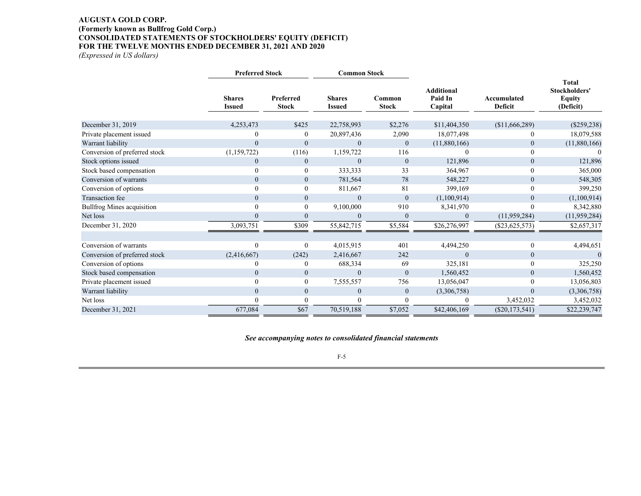## **AUGUSTA GOLD CORP. (Formerly known as Bullfrog Gold Corp.) CONSOLIDATED STATEMENTS OF STOCKHOLDERS' EQUITY (DEFICIT) FOR THE TWELVE MONTHS ENDED DECEMBER 31, 2021 AND 2020**

*(Expressed in US dollars)*

|                                   | <b>Preferred Stock</b>  |                                  |                                | <b>Common Stock</b>    |                                         |                        |                                                                    |
|-----------------------------------|-------------------------|----------------------------------|--------------------------------|------------------------|-----------------------------------------|------------------------|--------------------------------------------------------------------|
|                                   | <b>Shares</b><br>Issued | <b>Preferred</b><br><b>Stock</b> | <b>Shares</b><br><b>Issued</b> | Common<br><b>Stock</b> | <b>Additional</b><br>Paid In<br>Capital | Accumulated<br>Deficit | <b>Total</b><br><b>Stockholders'</b><br><b>Equity</b><br>(Deficit) |
| December 31, 2019                 | 4,253,473               | \$425                            | 22,758,993                     | \$2,276                | \$11,404,350                            | (\$11,666,289)         | $(\$259,238)$                                                      |
| Private placement issued          | 0                       | $\boldsymbol{0}$                 | 20,897,436                     | 2,090                  | 18,077,498                              | 0                      | 18,079,588                                                         |
| Warrant liability                 | $\theta$                | $\boldsymbol{0}$                 | $\theta$                       | $\overline{0}$         | (11,880,166)                            | $\mathbf{0}$           | (11,880,166)                                                       |
| Conversion of preferred stock     | (1,159,722)             | (116)                            | 1,159,722                      | 116                    | 0                                       | $\theta$               |                                                                    |
| Stock options issued              | $\boldsymbol{0}$        | $\boldsymbol{0}$                 | $\overline{0}$                 | $\boldsymbol{0}$       | 121,896                                 | $\mathbf{0}$           | 121,896                                                            |
| Stock based compensation          |                         | $\boldsymbol{0}$                 | 333,333                        | 33                     | 364,967                                 | $\Omega$               | 365,000                                                            |
| Conversion of warrants            | $\mathbf{0}$            | $\mathbf{0}$                     | 781,564                        | 78                     | 548,227                                 | $\mathbf{0}$           | 548,305                                                            |
| Conversion of options             | $\theta$                | $\overline{0}$                   | 811,667                        | 81                     | 399,169                                 | $\mathbf{0}$           | 399,250                                                            |
| Transaction fee                   | $\mathbf{0}$            | $\boldsymbol{0}$                 | $\Omega$                       | $\mathbf{0}$           | (1,100,914)                             | $\mathbf{0}$           | (1,100,914)                                                        |
| <b>Bullfrog Mines acquisition</b> | $\theta$                | $\overline{0}$                   | 9,100,000                      | 910                    | 8,341,970                               | $\theta$               | 8,342,880                                                          |
| Net loss                          | $\theta$                | $\boldsymbol{0}$                 | $\theta$                       | $\theta$               | $\theta$                                | (11,959,284)           | (11, 959, 284)                                                     |
| December 31, 2020                 | 3,093,751               | \$309                            | 55,842,715                     | \$5,584                | \$26,276,997                            | $(\$23,625,573)$       | \$2,657,317                                                        |
| Conversion of warrants            | $\mathbf{0}$            | $\boldsymbol{0}$                 | 4,015,915                      | 401                    | 4,494,250                               | $\mathbf{0}$           | 4,494,651                                                          |
| Conversion of preferred stock     | (2,416,667)             | (242)                            | 2,416,667                      | 242                    | $\theta$                                | $\mathbf{0}$           | $\Omega$                                                           |
| Conversion of options             | 0                       | $\mathbf{0}$                     | 688,334                        | 69                     | 325,181                                 | $\mathbf{0}$           | 325,250                                                            |
| Stock based compensation          | $\overline{0}$          | $\boldsymbol{0}$                 | $\Omega$                       | $\overline{0}$         | 1,560,452                               | $\mathbf{0}$           | 1,560,452                                                          |
| Private placement issued          | $\theta$                | $\boldsymbol{0}$                 | 7,555,557                      | 756                    | 13,056,047                              | $\theta$               | 13,056,803                                                         |
| Warrant liability                 | $\mathbf{0}$            | $\boldsymbol{0}$                 | $\overline{0}$                 | $\mathbf{0}$           | (3,306,758)                             | $\mathbf{0}$           | (3,306,758)                                                        |
| Net loss                          | $\theta$                | $\mathbf{0}$                     | $\Omega$                       | $\Omega$               | 0                                       | 3,452,032              | 3,452,032                                                          |
| December 31, 2021                 | 677,084                 | \$67                             | 70,519,188                     | \$7,052                | \$42,406,169                            | $(\$20,173,541)$       | \$22,239,747                                                       |

## *See accompanying notes to consolidated financial statements*

F-5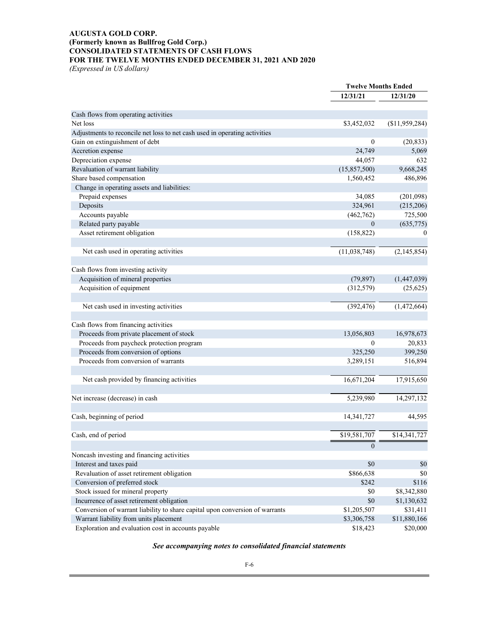# **AUGUSTA GOLD CORP. (Formerly known as Bullfrog Gold Corp.) CONSOLIDATED STATEMENTS OF CASH FLOWS FOR THE TWELVE MONTHS ENDED DECEMBER 31, 2021 AND 2020**

*(Expressed in US dollars)*

|                                                                              | <b>Twelve Months Ended</b> |                |
|------------------------------------------------------------------------------|----------------------------|----------------|
|                                                                              | 12/31/21                   | 12/31/20       |
| Cash flows from operating activities                                         |                            |                |
| Net loss                                                                     | \$3,452,032                | (\$11,959,284) |
| Adjustments to reconcile net loss to net cash used in operating activities   |                            |                |
| Gain on extinguishment of debt                                               | $\boldsymbol{0}$           | (20, 833)      |
| Accretion expense                                                            | 24,749                     | 5,069          |
| Depreciation expense                                                         | 44,057                     | 632            |
| Revaluation of warrant liability                                             | (15, 857, 500)             | 9,668,245      |
| Share based compensation                                                     | 1,560,452                  | 486,896        |
| Change in operating assets and liabilities:                                  |                            |                |
| Prepaid expenses                                                             | 34,085                     | (201,098)      |
| Deposits                                                                     | 324,961                    | (215,206)      |
| Accounts payable                                                             | (462,762)                  | 725,500        |
| Related party payable                                                        | $\mathbf{0}$               | (635, 775)     |
| Asset retirement obligation                                                  | (158, 822)                 | $\theta$       |
|                                                                              |                            |                |
| Net cash used in operating activities                                        | (11, 038, 748)             | (2,145,854)    |
|                                                                              |                            |                |
| Cash flows from investing activity                                           |                            |                |
| Acquisition of mineral properties                                            | (79, 897)                  | (1,447,039)    |
| Acquisition of equipment                                                     | (312, 579)                 | (25, 625)      |
|                                                                              |                            |                |
| Net cash used in investing activities                                        | (392, 476)                 | (1,472,664)    |
|                                                                              |                            |                |
| Cash flows from financing activities                                         |                            |                |
| Proceeds from private placement of stock                                     | 13,056,803                 | 16,978,673     |
| Proceeds from paycheck protection program                                    | $\mathbf{0}$               | 20,833         |
| Proceeds from conversion of options                                          | 325,250                    | 399,250        |
| Proceeds from conversion of warrants                                         | 3,289,151                  | 516,894        |
|                                                                              |                            |                |
| Net cash provided by financing activities                                    | 16,671,204                 | 17,915,650     |
|                                                                              |                            |                |
| Net increase (decrease) in cash                                              | 5,239,980                  | 14,297,132     |
|                                                                              |                            |                |
| Cash, beginning of period                                                    | 14,341,727                 | 44,595         |
|                                                                              |                            |                |
| Cash, end of period                                                          | \$19,581,707               | \$14,341,727   |
|                                                                              |                            |                |
| Noncash investing and financing activities                                   |                            |                |
| Interest and taxes paid                                                      | \$0                        | $\$0$          |
| Revaluation of asset retirement obligation                                   | \$866,638                  | \$0            |
| Conversion of preferred stock                                                | \$242                      | \$116          |
| Stock issued for mineral property                                            | \$0                        | \$8,342,880    |
| Incurrence of asset retirement obligation                                    | $\$0$                      | \$1,130,632    |
| Conversion of warrant liability to share capital upon conversion of warrants | \$1,205,507                | \$31,411       |
| Warrant liability from units placement                                       | \$3,306,758                | \$11,880,166   |
| Exploration and evaluation cost in accounts payable                          | \$18,423                   | \$20,000       |
|                                                                              |                            |                |

# *See accompanying notes to consolidated financial statements*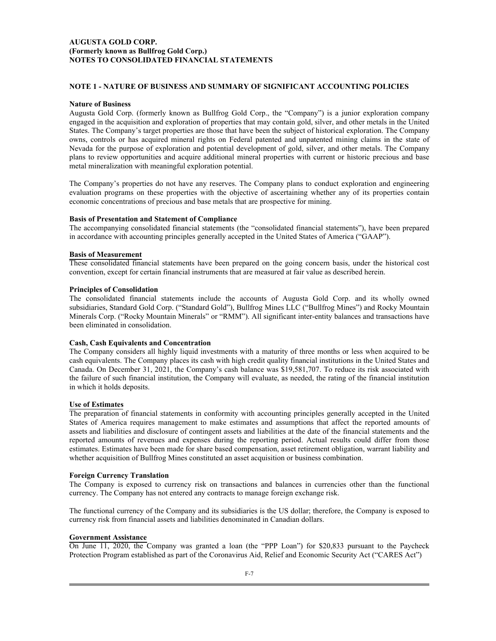### **AUGUSTA GOLD CORP. (Formerly known as Bullfrog Gold Corp.) NOTES TO CONSOLIDATED FINANCIAL STATEMENTS**

## **NOTE 1 - NATURE OF BUSINESS AND SUMMARY OF SIGNIFICANT ACCOUNTING POLICIES**

#### **Nature of Business**

Augusta Gold Corp. (formerly known as Bullfrog Gold Corp., the "Company") is a junior exploration company engaged in the acquisition and exploration of properties that may contain gold, silver, and other metals in the United States. The Company's target properties are those that have been the subject of historical exploration. The Company owns, controls or has acquired mineral rights on Federal patented and unpatented mining claims in the state of Nevada for the purpose of exploration and potential development of gold, silver, and other metals. The Company plans to review opportunities and acquire additional mineral properties with current or historic precious and base metal mineralization with meaningful exploration potential.

The Company's properties do not have any reserves. The Company plans to conduct exploration and engineering evaluation programs on these properties with the objective of ascertaining whether any of its properties contain economic concentrations of precious and base metals that are prospective for mining.

### **Basis of Presentation and Statement of Compliance**

The accompanying consolidated financial statements (the "consolidated financial statements"), have been prepared in accordance with accounting principles generally accepted in the United States of America ("GAAP").

### **Basis of Measurement**

These consolidated financial statements have been prepared on the going concern basis, under the historical cost convention, except for certain financial instruments that are measured at fair value as described herein.

#### **Principles of Consolidation**

The consolidated financial statements include the accounts of Augusta Gold Corp. and its wholly owned subsidiaries, Standard Gold Corp. ("Standard Gold"), Bullfrog Mines LLC ("Bullfrog Mines") and Rocky Mountain Minerals Corp. ("Rocky Mountain Minerals" or "RMM"). All significant inter-entity balances and transactions have been eliminated in consolidation.

### **Cash, Cash Equivalents and Concentration**

The Company considers all highly liquid investments with a maturity of three months or less when acquired to be cash equivalents. The Company places its cash with high credit quality financial institutions in the United States and Canada. On December 31, 2021, the Company's cash balance was \$19,581,707. To reduce its risk associated with the failure of such financial institution, the Company will evaluate, as needed, the rating of the financial institution in which it holds deposits.

### **Use of Estimates**

The preparation of financial statements in conformity with accounting principles generally accepted in the United States of America requires management to make estimates and assumptions that affect the reported amounts of assets and liabilities and disclosure of contingent assets and liabilities at the date of the financial statements and the reported amounts of revenues and expenses during the reporting period. Actual results could differ from those estimates. Estimates have been made for share based compensation, asset retirement obligation, warrant liability and whether acquisition of Bullfrog Mines constituted an asset acquisition or business combination.

### **Foreign Currency Translation**

The Company is exposed to currency risk on transactions and balances in currencies other than the functional currency. The Company has not entered any contracts to manage foreign exchange risk.

The functional currency of the Company and its subsidiaries is the US dollar; therefore, the Company is exposed to currency risk from financial assets and liabilities denominated in Canadian dollars.

### **Government Assistance**

On June 11, 2020, the Company was granted a loan (the "PPP Loan") for \$20,833 pursuant to the Paycheck Protection Program established as part of the Coronavirus Aid, Relief and Economic Security Act ("CARES Act")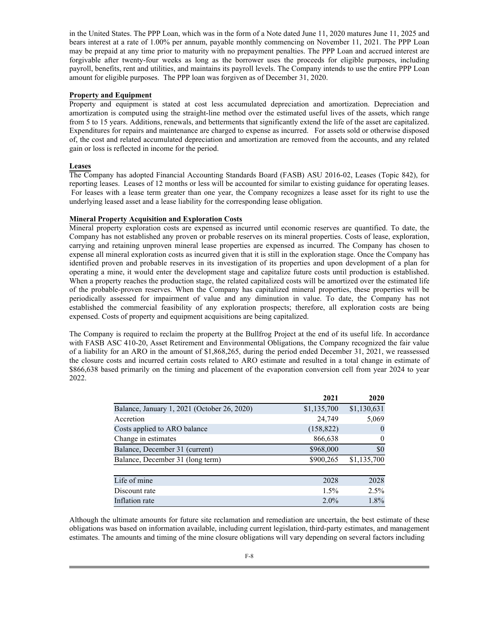in the United States. The PPP Loan, which was in the form of a Note dated June 11, 2020 matures June 11, 2025 and bears interest at a rate of 1.00% per annum, payable monthly commencing on November 11, 2021. The PPP Loan may be prepaid at any time prior to maturity with no prepayment penalties. The PPP Loan and accrued interest are forgivable after twenty-four weeks as long as the borrower uses the proceeds for eligible purposes, including payroll, benefits, rent and utilities, and maintains its payroll levels. The Company intends to use the entire PPP Loan amount for eligible purposes. The PPP loan was forgiven as of December 31, 2020.

### **Property and Equipment**

Property and equipment is stated at cost less accumulated depreciation and amortization. Depreciation and amortization is computed using the straight-line method over the estimated useful lives of the assets, which range from 5 to 15 years. Additions, renewals, and betterments that significantly extend the life of the asset are capitalized. Expenditures for repairs and maintenance are charged to expense as incurred. For assets sold or otherwise disposed of, the cost and related accumulated depreciation and amortization are removed from the accounts, and any related gain or loss is reflected in income for the period.

### **Leases**

The Company has adopted Financial Accounting Standards Board (FASB) ASU 2016-02, Leases (Topic 842), for reporting leases. Leases of 12 months or less will be accounted for similar to existing guidance for operating leases. For leases with a lease term greater than one year, the Company recognizes a lease asset for its right to use the underlying leased asset and a lease liability for the corresponding lease obligation.

### **Mineral Property Acquisition and Exploration Costs**

Mineral property exploration costs are expensed as incurred until economic reserves are quantified. To date, the Company has not established any proven or probable reserves on its mineral properties. Costs of lease, exploration, carrying and retaining unproven mineral lease properties are expensed as incurred. The Company has chosen to expense all mineral exploration costs as incurred given that it is still in the exploration stage. Once the Company has identified proven and probable reserves in its investigation of its properties and upon development of a plan for operating a mine, it would enter the development stage and capitalize future costs until production is established. When a property reaches the production stage, the related capitalized costs will be amortized over the estimated life of the probable-proven reserves. When the Company has capitalized mineral properties, these properties will be periodically assessed for impairment of value and any diminution in value. To date, the Company has not established the commercial feasibility of any exploration prospects; therefore, all exploration costs are being expensed. Costs of property and equipment acquisitions are being capitalized.

The Company is required to reclaim the property at the Bullfrog Project at the end of its useful life. In accordance with FASB ASC 410-20, Asset Retirement and Environmental Obligations, the Company recognized the fair value of a liability for an ARO in the amount of \$1,868,265, during the period ended December 31, 2021, we reassessed the closure costs and incurred certain costs related to ARO estimate and resulted in a total change in estimate of \$866,638 based primarily on the timing and placement of the evaporation conversion cell from year 2024 to year 2022.

|                                             | 2021        | 2020        |
|---------------------------------------------|-------------|-------------|
| Balance, January 1, 2021 (October 26, 2020) | \$1,135,700 | \$1,130,631 |
| Accretion                                   | 24,749      | 5,069       |
| Costs applied to ARO balance                | (158, 822)  | $\theta$    |
| Change in estimates                         | 866,638     | $\theta$    |
| Balance, December 31 (current)              | \$968,000   | \$0         |
| Balance, December 31 (long term)            | \$900,265   | \$1,135,700 |
|                                             |             |             |
| Life of mine                                | 2028        | 2028        |
| Discount rate                               | $1.5\%$     | 2.5%        |
| Inflation rate                              | $2.0\%$     | 1.8%        |

Although the ultimate amounts for future site reclamation and remediation are uncertain, the best estimate of these obligations was based on information available, including current legislation, third-party estimates, and management estimates. The amounts and timing of the mine closure obligations will vary depending on several factors including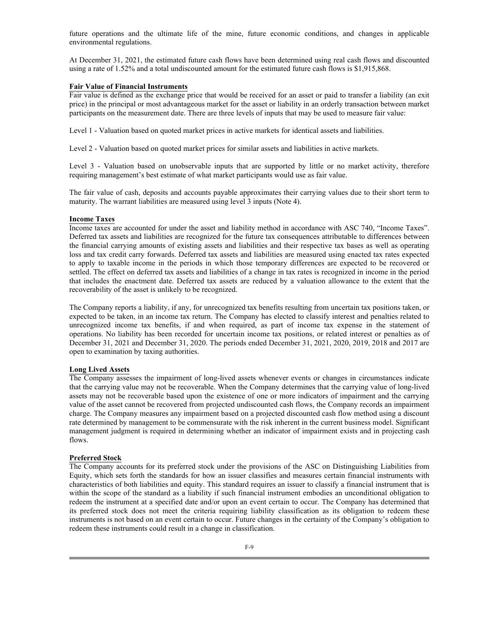future operations and the ultimate life of the mine, future economic conditions, and changes in applicable environmental regulations.

At December 31, 2021, the estimated future cash flows have been determined using real cash flows and discounted using a rate of 1.52% and a total undiscounted amount for the estimated future cash flows is \$1,915,868.

### **Fair Value of Financial Instruments**

Fair value is defined as the exchange price that would be received for an asset or paid to transfer a liability (an exit price) in the principal or most advantageous market for the asset or liability in an orderly transaction between market participants on the measurement date. There are three levels of inputs that may be used to measure fair value:

Level 1 - Valuation based on quoted market prices in active markets for identical assets and liabilities.

Level 2 - Valuation based on quoted market prices for similar assets and liabilities in active markets.

Level 3 - Valuation based on unobservable inputs that are supported by little or no market activity, therefore requiring management's best estimate of what market participants would use as fair value.

The fair value of cash, deposits and accounts payable approximates their carrying values due to their short term to maturity. The warrant liabilities are measured using level 3 inputs (Note 4).

#### **Income Taxes**

Income taxes are accounted for under the asset and liability method in accordance with ASC 740, "Income Taxes". Deferred tax assets and liabilities are recognized for the future tax consequences attributable to differences between the financial carrying amounts of existing assets and liabilities and their respective tax bases as well as operating loss and tax credit carry forwards. Deferred tax assets and liabilities are measured using enacted tax rates expected to apply to taxable income in the periods in which those temporary differences are expected to be recovered or settled. The effect on deferred tax assets and liabilities of a change in tax rates is recognized in income in the period that includes the enactment date. Deferred tax assets are reduced by a valuation allowance to the extent that the recoverability of the asset is unlikely to be recognized.

The Company reports a liability, if any, for unrecognized tax benefits resulting from uncertain tax positions taken, or expected to be taken, in an income tax return. The Company has elected to classify interest and penalties related to unrecognized income tax benefits, if and when required, as part of income tax expense in the statement of operations. No liability has been recorded for uncertain income tax positions, or related interest or penalties as of December 31, 2021 and December 31, 2020. The periods ended December 31, 2021, 2020, 2019, 2018 and 2017 are open to examination by taxing authorities.

#### **Long Lived Assets**

The Company assesses the impairment of long-lived assets whenever events or changes in circumstances indicate that the carrying value may not be recoverable. When the Company determines that the carrying value of long-lived assets may not be recoverable based upon the existence of one or more indicators of impairment and the carrying value of the asset cannot be recovered from projected undiscounted cash flows, the Company records an impairment charge. The Company measures any impairment based on a projected discounted cash flow method using a discount rate determined by management to be commensurate with the risk inherent in the current business model. Significant management judgment is required in determining whether an indicator of impairment exists and in projecting cash flows.

#### **Preferred Stock**

The Company accounts for its preferred stock under the provisions of the ASC on Distinguishing Liabilities from Equity, which sets forth the standards for how an issuer classifies and measures certain financial instruments with characteristics of both liabilities and equity. This standard requires an issuer to classify a financial instrument that is within the scope of the standard as a liability if such financial instrument embodies an unconditional obligation to redeem the instrument at a specified date and/or upon an event certain to occur. The Company has determined that its preferred stock does not meet the criteria requiring liability classification as its obligation to redeem these instruments is not based on an event certain to occur. Future changes in the certainty of the Company's obligation to redeem these instruments could result in a change in classification.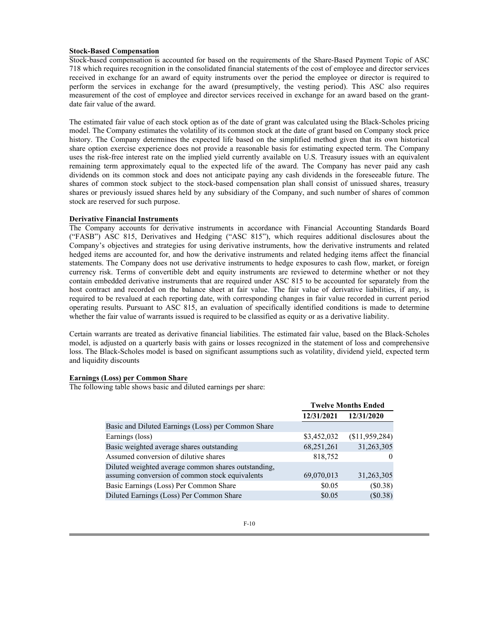### **Stock-Based Compensation**

Stock-based compensation is accounted for based on the requirements of the Share-Based Payment Topic of ASC 718 which requires recognition in the consolidated financial statements of the cost of employee and director services received in exchange for an award of equity instruments over the period the employee or director is required to perform the services in exchange for the award (presumptively, the vesting period). This ASC also requires measurement of the cost of employee and director services received in exchange for an award based on the grantdate fair value of the award.

The estimated fair value of each stock option as of the date of grant was calculated using the Black-Scholes pricing model. The Company estimates the volatility of its common stock at the date of grant based on Company stock price history. The Company determines the expected life based on the simplified method given that its own historical share option exercise experience does not provide a reasonable basis for estimating expected term. The Company uses the risk-free interest rate on the implied yield currently available on U.S. Treasury issues with an equivalent remaining term approximately equal to the expected life of the award. The Company has never paid any cash dividends on its common stock and does not anticipate paying any cash dividends in the foreseeable future. The shares of common stock subject to the stock-based compensation plan shall consist of unissued shares, treasury shares or previously issued shares held by any subsidiary of the Company, and such number of shares of common stock are reserved for such purpose.

### **Derivative Financial Instruments**

The Company accounts for derivative instruments in accordance with Financial Accounting Standards Board ("FASB") ASC 815, Derivatives and Hedging ("ASC 815"), which requires additional disclosures about the Company's objectives and strategies for using derivative instruments, how the derivative instruments and related hedged items are accounted for, and how the derivative instruments and related hedging items affect the financial statements. The Company does not use derivative instruments to hedge exposures to cash flow, market, or foreign currency risk. Terms of convertible debt and equity instruments are reviewed to determine whether or not they contain embedded derivative instruments that are required under ASC 815 to be accounted for separately from the host contract and recorded on the balance sheet at fair value. The fair value of derivative liabilities, if any, is required to be revalued at each reporting date, with corresponding changes in fair value recorded in current period operating results. Pursuant to ASC 815, an evaluation of specifically identified conditions is made to determine whether the fair value of warrants issued is required to be classified as equity or as a derivative liability.

Certain warrants are treated as derivative financial liabilities. The estimated fair value, based on the Black-Scholes model, is adjusted on a quarterly basis with gains or losses recognized in the statement of loss and comprehensive loss. The Black-Scholes model is based on significant assumptions such as volatility, dividend yield, expected term and liquidity discounts

#### **Earnings (Loss) per Common Share**

The following table shows basic and diluted earnings per share:

|                                                     | <b>Twelve Months Ended</b> |                |
|-----------------------------------------------------|----------------------------|----------------|
|                                                     | 12/31/2021                 | 12/31/2020     |
| Basic and Diluted Earnings (Loss) per Common Share  |                            |                |
| Earnings (loss)                                     | \$3,452,032                | (\$11,959,284) |
| Basic weighted average shares outstanding           | 68,251,261                 | 31,263,305     |
| Assumed conversion of dilutive shares               | 818,752                    |                |
| Diluted weighted average common shares outstanding, |                            |                |
| assuming conversion of common stock equivalents     | 69,070,013                 | 31,263,305     |
| Basic Earnings (Loss) Per Common Share              | \$0.05                     | (\$0.38)       |
| Diluted Earnings (Loss) Per Common Share            | \$0.05                     | (S0.38)        |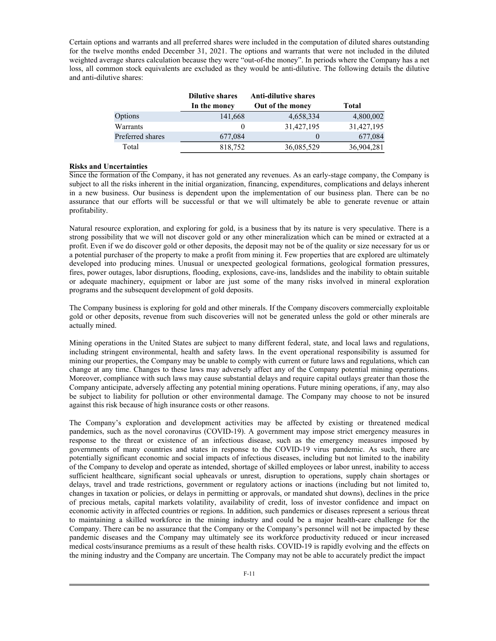Certain options and warrants and all preferred shares were included in the computation of diluted shares outstanding for the twelve months ended December 31, 2021. The options and warrants that were not included in the diluted weighted average shares calculation because they were "out-of-the money". In periods where the Company has a net loss, all common stock equivalents are excluded as they would be anti-dilutive. The following details the dilutive and anti-dilutive shares:

|                  | <b>Dilutive shares</b> | <b>Anti-dilutive shares</b> |            |
|------------------|------------------------|-----------------------------|------------|
|                  | In the money           | Out of the money            | Total      |
| Options          | 141,668                | 4,658,334                   | 4,800,002  |
| Warrants         |                        | 31,427,195                  | 31,427,195 |
| Preferred shares | 677,084                | $\theta$                    | 677,084    |
| Total            | 818,752                | 36,085,529                  | 36,904,281 |

### **Risks and Uncertainties**

Since the formation of the Company, it has not generated any revenues. As an early-stage company, the Company is subject to all the risks inherent in the initial organization, financing, expenditures, complications and delays inherent in a new business. Our business is dependent upon the implementation of our business plan. There can be no assurance that our efforts will be successful or that we will ultimately be able to generate revenue or attain profitability.

Natural resource exploration, and exploring for gold, is a business that by its nature is very speculative. There is a strong possibility that we will not discover gold or any other mineralization which can be mined or extracted at a profit. Even if we do discover gold or other deposits, the deposit may not be of the quality or size necessary for us or a potential purchaser of the property to make a profit from mining it. Few properties that are explored are ultimately developed into producing mines. Unusual or unexpected geological formations, geological formation pressures, fires, power outages, labor disruptions, flooding, explosions, cave-ins, landslides and the inability to obtain suitable or adequate machinery, equipment or labor are just some of the many risks involved in mineral exploration programs and the subsequent development of gold deposits.

The Company business is exploring for gold and other minerals. If the Company discovers commercially exploitable gold or other deposits, revenue from such discoveries will not be generated unless the gold or other minerals are actually mined.

Mining operations in the United States are subject to many different federal, state, and local laws and regulations, including stringent environmental, health and safety laws. In the event operational responsibility is assumed for mining our properties, the Company may be unable to comply with current or future laws and regulations, which can change at any time. Changes to these laws may adversely affect any of the Company potential mining operations. Moreover, compliance with such laws may cause substantial delays and require capital outlays greater than those the Company anticipate, adversely affecting any potential mining operations. Future mining operations, if any, may also be subject to liability for pollution or other environmental damage. The Company may choose to not be insured against this risk because of high insurance costs or other reasons.

The Company's exploration and development activities may be affected by existing or threatened medical pandemics, such as the novel coronavirus (COVID-19). A government may impose strict emergency measures in response to the threat or existence of an infectious disease, such as the emergency measures imposed by governments of many countries and states in response to the COVID-19 virus pandemic. As such, there are potentially significant economic and social impacts of infectious diseases, including but not limited to the inability of the Company to develop and operate as intended, shortage of skilled employees or labor unrest, inability to access sufficient healthcare, significant social upheavals or unrest, disruption to operations, supply chain shortages or delays, travel and trade restrictions, government or regulatory actions or inactions (including but not limited to, changes in taxation or policies, or delays in permitting or approvals, or mandated shut downs), declines in the price of precious metals, capital markets volatility, availability of credit, loss of investor confidence and impact on economic activity in affected countries or regions. In addition, such pandemics or diseases represent a serious threat to maintaining a skilled workforce in the mining industry and could be a major health-care challenge for the Company. There can be no assurance that the Company or the Company's personnel will not be impacted by these pandemic diseases and the Company may ultimately see its workforce productivity reduced or incur increased medical costs/insurance premiums as a result of these health risks. COVID-19 is rapidly evolving and the effects on the mining industry and the Company are uncertain. The Company may not be able to accurately predict the impact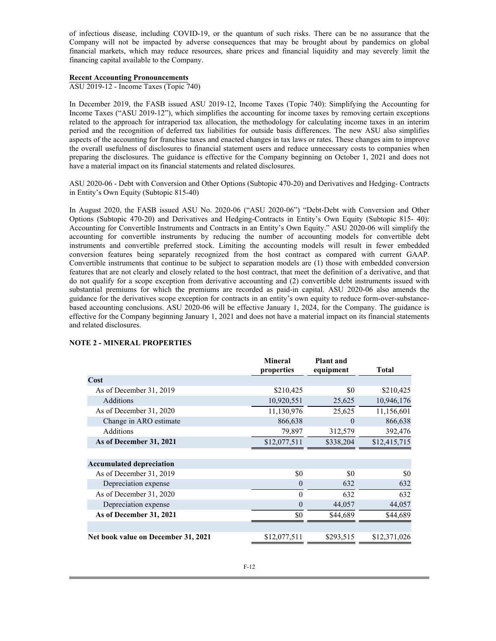of infectious disease, including COVID-19, or the quantum of such risks. There can be no assurance that the Company will not be impacted by adverse consequences that may be brought about by pandemics on global financial markets, which may reduce resources, share prices and financial liquidity and may severely limit the financing capital available to the Company.

### **Recent Accounting Pronouncements**

ASU 2019-12 - Income Taxes (Topic 740)

In December 2019, the FASB issued ASU 2019-12, Income Taxes (Topic 740): Simplifying the Accounting for Income Taxes ("ASU 2019-12"), which simplifies the accounting for income taxes by removing certain exceptions related to the approach for intraperiod tax allocation, the methodology for calculating income taxes in an interim period and the recognition of deferred tax liabilities for outside basis differences. The new ASU also simplifies aspects of the accounting for franchise taxes and enacted changes in tax laws or rates. These changes aim to improve the overall usefulness of disclosures to financial statement users and reduce unnecessary costs to companies when preparing the disclosures. The guidance is effective for the Company beginning on October 1, 2021 and does not have a material impact on its financial statements and related disclosures.

ASU 2020-06 - Debt with Conversion and Other Options (Subtopic 470-20) and Derivatives and Hedging- Contracts in Entity's Own Equity (Subtopic 815-40)

In August 2020, the FASB issued ASU No. 2020-06 ("ASU 2020-06") "Debt-Debt with Conversion and Other Options (Subtopic 470-20) and Derivatives and Hedging-Contracts in Entity's Own Equity (Subtopic 815- 40): Accounting for Convertible Instruments and Contracts in an Entity's Own Equity." ASU 2020-06 will simplify the accounting for convertible instruments by reducing the number of accounting models for convertible debt instruments and convertible preferred stock. Limiting the accounting models will result in fewer embedded conversion features being separately recognized from the host contract as compared with current GAAP. Convertible instruments that continue to be subject to separation models are (1) those with embedded conversion features that are not clearly and closely related to the host contract, that meet the definition of a derivative, and that do not qualify for a scope exception from derivative accounting and (2) convertible debt instruments issued with substantial premiums for which the premiums are recorded as paid-in capital. ASU 2020-06 also amends the guidance for the derivatives scope exception for contracts in an entity's own equity to reduce form-over-substancebased accounting conclusions. ASU 2020-06 will be effective January 1, 2024, for the Company. The guidance is effective for the Company beginning January 1, 2021 and does not have a material impact on its financial statements and related disclosures.

|                                     | <b>Mineral</b><br>properties | <b>Plant</b> and<br>equipment | <b>Total</b> |
|-------------------------------------|------------------------------|-------------------------------|--------------|
| Cost                                |                              |                               |              |
| As of December 31, 2019             | \$210,425                    | \$0                           | \$210,425    |
| <b>Additions</b>                    | 10,920,551                   | 25,625                        | 10,946,176   |
| As of December 31, 2020             | 11,130,976                   | 25,625                        | 11,156,601   |
| Change in ARO estimate              | 866,638                      | $\Omega$                      | 866,638      |
| <b>Additions</b>                    | 79,897                       | 312,579                       | 392,476      |
| As of December 31, 2021             | \$12,077,511                 | \$338,204                     | \$12,415,715 |
| <b>Accumulated depreciation</b>     |                              |                               |              |
| As of December 31, 2019             | \$0                          | \$0                           | \$0          |
| Depreciation expense                | $\theta$                     | 632                           | 632          |
| As of December 31, 2020             | $\theta$                     | 632                           | 632          |
| Depreciation expense                | $\theta$                     | 44,057                        | 44,057       |
| As of December 31, 2021             | \$0                          | \$44,689                      | \$44,689     |
|                                     |                              |                               |              |
| Net book value on December 31, 2021 | \$12,077,511                 | \$293,515                     | \$12,371,026 |
|                                     |                              |                               |              |

### **NOTE 2 - MINERAL PROPERTIES**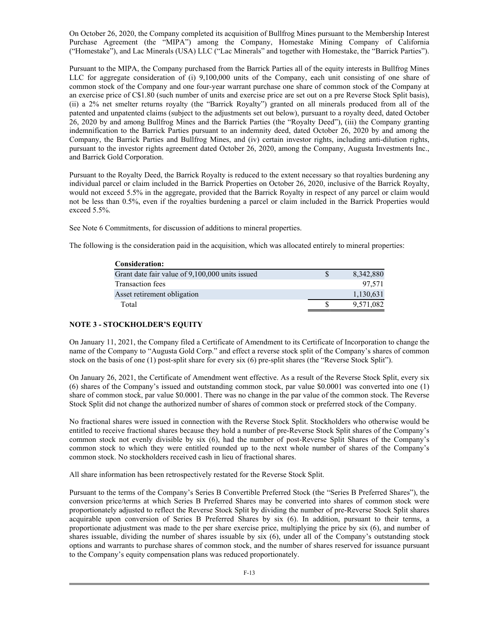On October 26, 2020, the Company completed its acquisition of Bullfrog Mines pursuant to the Membership Interest Purchase Agreement (the "MIPA") among the Company, Homestake Mining Company of California ("Homestake"), and Lac Minerals (USA) LLC ("Lac Minerals" and together with Homestake, the "Barrick Parties").

Pursuant to the MIPA, the Company purchased from the Barrick Parties all of the equity interests in Bullfrog Mines LLC for aggregate consideration of (i) 9,100,000 units of the Company, each unit consisting of one share of common stock of the Company and one four-year warrant purchase one share of common stock of the Company at an exercise price of C\$1.80 (such number of units and exercise price are set out on a pre Reverse Stock Split basis), (ii) a 2% net smelter returns royalty (the "Barrick Royalty") granted on all minerals produced from all of the patented and unpatented claims (subject to the adjustments set out below), pursuant to a royalty deed, dated October 26, 2020 by and among Bullfrog Mines and the Barrick Parties (the "Royalty Deed"), (iii) the Company granting indemnification to the Barrick Parties pursuant to an indemnity deed, dated October 26, 2020 by and among the Company, the Barrick Parties and Bullfrog Mines, and (iv) certain investor rights, including anti-dilution rights, pursuant to the investor rights agreement dated October 26, 2020, among the Company, Augusta Investments Inc., and Barrick Gold Corporation.

Pursuant to the Royalty Deed, the Barrick Royalty is reduced to the extent necessary so that royalties burdening any individual parcel or claim included in the Barrick Properties on October 26, 2020, inclusive of the Barrick Royalty, would not exceed 5.5% in the aggregate, provided that the Barrick Royalty in respect of any parcel or claim would not be less than 0.5%, even if the royalties burdening a parcel or claim included in the Barrick Properties would exceed 5.5%.

See Note 6 Commitments, for discussion of additions to mineral properties.

The following is the consideration paid in the acquisition, which was allocated entirely to mineral properties:

| Consideration:                                  |   |           |
|-------------------------------------------------|---|-----------|
| Grant date fair value of 9,100,000 units issued | S | 8,342,880 |
| Transaction fees                                |   | 97.571    |
| Asset retirement obligation                     |   | 1,130,631 |
| Total                                           |   | 9,571,082 |

# **NOTE 3 - STOCKHOLDER'S EQUITY**

**Consideration:**

On January 11, 2021, the Company filed a Certificate of Amendment to its Certificate of Incorporation to change the name of the Company to "Augusta Gold Corp." and effect a reverse stock split of the Company's shares of common stock on the basis of one (1) post-split share for every six (6) pre-split shares (the "Reverse Stock Split").

On January 26, 2021, the Certificate of Amendment went effective. As a result of the Reverse Stock Split, every six (6) shares of the Company's issued and outstanding common stock, par value \$0.0001 was converted into one (1) share of common stock, par value \$0.0001. There was no change in the par value of the common stock. The Reverse Stock Split did not change the authorized number of shares of common stock or preferred stock of the Company.

No fractional shares were issued in connection with the Reverse Stock Split. Stockholders who otherwise would be entitled to receive fractional shares because they hold a number of pre-Reverse Stock Split shares of the Company's common stock not evenly divisible by six (6), had the number of post-Reverse Split Shares of the Company's common stock to which they were entitled rounded up to the next whole number of shares of the Company's common stock. No stockholders received cash in lieu of fractional shares.

All share information has been retrospectively restated for the Reverse Stock Split.

Pursuant to the terms of the Company's Series B Convertible Preferred Stock (the "Series B Preferred Shares"), the conversion price/terms at which Series B Preferred Shares may be converted into shares of common stock were proportionately adjusted to reflect the Reverse Stock Split by dividing the number of pre-Reverse Stock Split shares acquirable upon conversion of Series B Preferred Shares by six (6). In addition, pursuant to their terms, a proportionate adjustment was made to the per share exercise price, multiplying the price by six (6), and number of shares issuable, dividing the number of shares issuable by six (6), under all of the Company's outstanding stock options and warrants to purchase shares of common stock, and the number of shares reserved for issuance pursuant to the Company's equity compensation plans was reduced proportionately.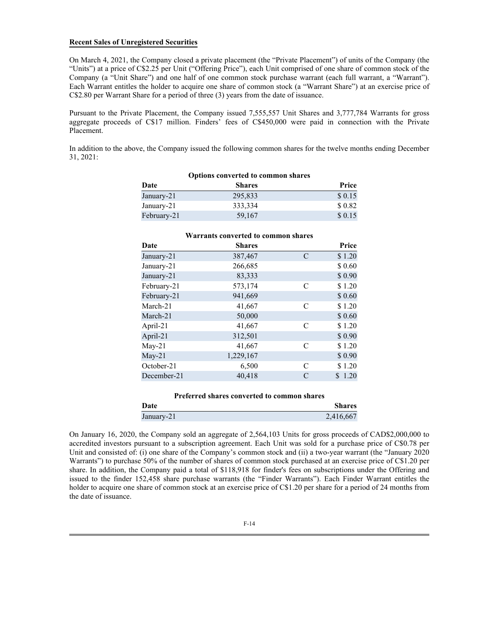### **Recent Sales of Unregistered Securities**

On March 4, 2021, the Company closed a private placement (the "Private Placement") of units of the Company (the "Units") at a price of C\$2.25 per Unit ("Offering Price"), each Unit comprised of one share of common stock of the Company (a "Unit Share") and one half of one common stock purchase warrant (each full warrant, a "Warrant"). Each Warrant entitles the holder to acquire one share of common stock (a "Warrant Share") at an exercise price of C\$2.80 per Warrant Share for a period of three (3) years from the date of issuance.

Pursuant to the Private Placement, the Company issued 7,555,557 Unit Shares and 3,777,784 Warrants for gross aggregate proceeds of C\$17 million. Finders' fees of C\$450,000 were paid in connection with the Private Placement.

In addition to the above, the Company issued the following common shares for the twelve months ending December 31, 2021:

| <b>Options converted to common shares</b> |               |        |  |
|-------------------------------------------|---------------|--------|--|
| Date                                      | <b>Shares</b> | Price  |  |
| January-21                                | 295.833       | \$0.15 |  |
| January-21                                | 333,334       | \$0.82 |  |
| February-21                               | 59,167        | \$0.15 |  |

## **Warrants converted to common shares**

| Date        | <b>Shares</b> |   | Price   |
|-------------|---------------|---|---------|
| January-21  | 387,467       | C | \$1.20  |
| January-21  | 266,685       |   | \$ 0.60 |
| January-21  | 83,333        |   | \$0.90  |
| February-21 | 573,174       | C | \$1.20  |
| February-21 | 941,669       |   | \$ 0.60 |
| March-21    | 41,667        | C | \$1.20  |
| March-21    | 50,000        |   | \$0.60  |
| April-21    | 41,667        | C | \$1.20  |
| April-21    | 312,501       |   | \$0.90  |
| $May-21$    | 41,667        | C | \$1.20  |
| $May-21$    | 1,229,167     |   | \$0.90  |
| October-21  | 6,500         | C | \$1.20  |
| December-21 | 40,418        | C | \$1.20  |

#### **Preferred shares converted to common shares**

| Date       | <b>Shares</b> |
|------------|---------------|
| January-21 | 2,416,667     |

On January 16, 2020, the Company sold an aggregate of 2,564,103 Units for gross proceeds of CAD\$2,000,000 to accredited investors pursuant to a subscription agreement. Each Unit was sold for a purchase price of C\$0.78 per Unit and consisted of: (i) one share of the Company's common stock and (ii) a two-year warrant (the "January 2020 Warrants") to purchase 50% of the number of shares of common stock purchased at an exercise price of C\$1.20 per share. In addition, the Company paid a total of \$118,918 for finder's fees on subscriptions under the Offering and issued to the finder 152,458 share purchase warrants (the "Finder Warrants"). Each Finder Warrant entitles the holder to acquire one share of common stock at an exercise price of C\$1.20 per share for a period of 24 months from the date of issuance.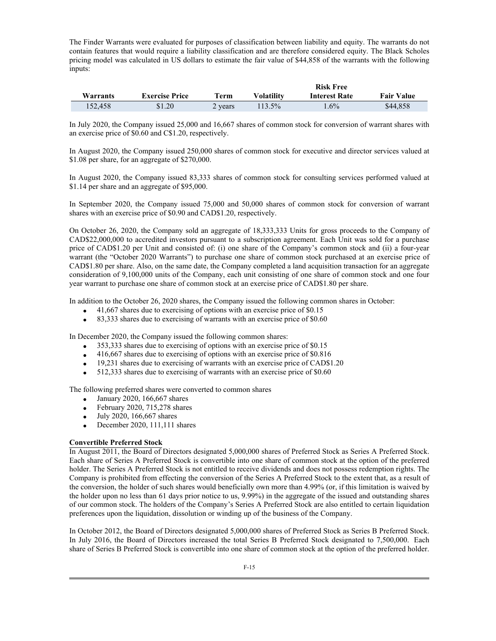The Finder Warrants were evaluated for purposes of classification between liability and equity. The warrants do not contain features that would require a liability classification and are therefore considered equity. The Black Scholes pricing model was calculated in US dollars to estimate the fair value of \$44,858 of the warrants with the following inputs:

|          |                       |                | <b>Risk Free</b>  |                      |                   |
|----------|-----------------------|----------------|-------------------|----------------------|-------------------|
| Warrants | <b>Exercise Price</b> | Term           | <b>Volatility</b> | <b>Interest Rate</b> | <b>Fair Value</b> |
| 152.458  | \$1.20                | <i>L</i> vears | $113.5\%$         | $1.6\%$              | \$44.858          |

In July 2020, the Company issued 25,000 and 16,667 shares of common stock for conversion of warrant shares with an exercise price of \$0.60 and C\$1.20, respectively.

In August 2020, the Company issued 250,000 shares of common stock for executive and director services valued at \$1.08 per share, for an aggregate of \$270,000.

In August 2020, the Company issued 83,333 shares of common stock for consulting services performed valued at \$1.14 per share and an aggregate of \$95,000.

In September 2020, the Company issued 75,000 and 50,000 shares of common stock for conversion of warrant shares with an exercise price of \$0.90 and CAD\$1.20, respectively.

On October 26, 2020, the Company sold an aggregate of 18,333,333 Units for gross proceeds to the Company of CAD\$22,000,000 to accredited investors pursuant to a subscription agreement. Each Unit was sold for a purchase price of CAD\$1.20 per Unit and consisted of: (i) one share of the Company's common stock and (ii) a four-year warrant (the "October 2020 Warrants") to purchase one share of common stock purchased at an exercise price of CAD\$1.80 per share. Also, on the same date, the Company completed a land acquisition transaction for an aggregate consideration of 9,100,000 units of the Company, each unit consisting of one share of common stock and one four year warrant to purchase one share of common stock at an exercise price of CAD\$1.80 per share.

In addition to the October 26, 2020 shares, the Company issued the following common shares in October:

- 41,667 shares due to exercising of options with an exercise price of \$0.15  $\bullet$
- 83,333 shares due to exercising of warrants with an exercise price of \$0.60  $\bullet$

In December 2020, the Company issued the following common shares:

- 353,333 shares due to exercising of options with an exercise price of \$0.15  $\bullet$
- 416,667 shares due to exercising of options with an exercise price of \$0.816  $\bullet$
- 19,231 shares due to exercising of warrants with an exercise price of CAD\$1.20  $\bullet$
- 512,333 shares due to exercising of warrants with an exercise price of \$0.60  $\bullet$

The following preferred shares were converted to common shares

- January 2020, 166,667 shares  $\bullet$
- February 2020, 715,278 shares  $\bullet$
- July 2020, 166,667 shares  $\bullet$
- December 2020, 111,111 shares  $\bullet$

### **Convertible Preferred Stock**

In August 2011, the Board of Directors designated 5,000,000 shares of Preferred Stock as Series A Preferred Stock. Each share of Series A Preferred Stock is convertible into one share of common stock at the option of the preferred holder. The Series A Preferred Stock is not entitled to receive dividends and does not possess redemption rights. The Company is prohibited from effecting the conversion of the Series A Preferred Stock to the extent that, as a result of the conversion, the holder of such shares would beneficially own more than 4.99% (or, if this limitation is waived by the holder upon no less than 61 days prior notice to us, 9.99%) in the aggregate of the issued and outstanding shares of our common stock. The holders of the Company's Series A Preferred Stock are also entitled to certain liquidation preferences upon the liquidation, dissolution or winding up of the business of the Company.

In October 2012, the Board of Directors designated 5,000,000 shares of Preferred Stock as Series B Preferred Stock. In July 2016, the Board of Directors increased the total Series B Preferred Stock designated to 7,500,000. Each share of Series B Preferred Stock is convertible into one share of common stock at the option of the preferred holder.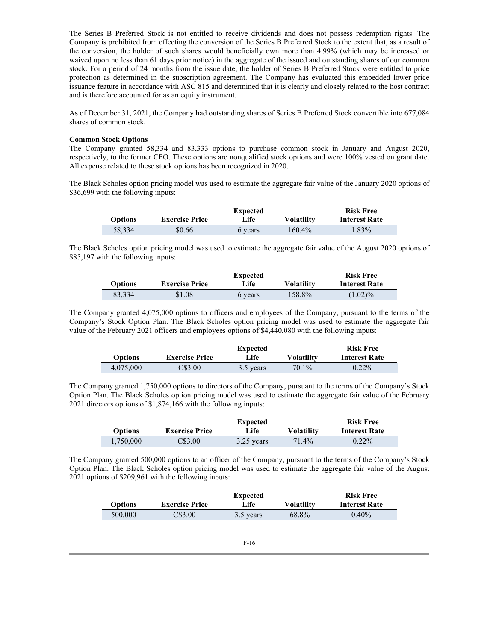The Series B Preferred Stock is not entitled to receive dividends and does not possess redemption rights. The Company is prohibited from effecting the conversion of the Series B Preferred Stock to the extent that, as a result of the conversion, the holder of such shares would beneficially own more than 4.99% (which may be increased or waived upon no less than 61 days prior notice) in the aggregate of the issued and outstanding shares of our common stock. For a period of 24 months from the issue date, the holder of Series B Preferred Stock were entitled to price protection as determined in the subscription agreement. The Company has evaluated this embedded lower price issuance feature in accordance with ASC 815 and determined that it is clearly and closely related to the host contract and is therefore accounted for as an equity instrument.

As of December 31, 2021, the Company had outstanding shares of Series B Preferred Stock convertible into 677,084 shares of common stock.

#### **Common Stock Options**

The Company granted 58,334 and 83,333 options to purchase common stock in January and August 2020, respectively, to the former CFO. These options are nonqualified stock options and were 100% vested on grant date. All expense related to these stock options has been recognized in 2020.

The Black Scholes option pricing model was used to estimate the aggregate fair value of the January 2020 options of \$36,699 with the following inputs:

| <b>Risk Free</b><br><b>Expected</b> |                       |         |            |                      |
|-------------------------------------|-----------------------|---------|------------|----------------------|
| <b>Options</b>                      | <b>Exercise Price</b> | Life    | Volatility | <b>Interest Rate</b> |
| 58.334                              | \$0.66                | 6 years | 160.4%     | 1.83%                |

The Black Scholes option pricing model was used to estimate the aggregate fair value of the August 2020 options of \$85,197 with the following inputs:

|         |                       | <b>Expected</b> |                   | <b>Risk Free</b>     |
|---------|-----------------------|-----------------|-------------------|----------------------|
| Options | <b>Exercise Price</b> | Life            | <b>Volatility</b> | <b>Interest Rate</b> |
| 83.334  | \$1.08                | 6 years         | 158.8%            | $(1.02)\%$           |

The Company granted 4,075,000 options to officers and employees of the Company, pursuant to the terms of the Company's Stock Option Plan. The Black Scholes option pricing model was used to estimate the aggregate fair value of the February 2021 officers and employees options of \$4,440,080 with the following inputs:

|                |                       | <b>Expected</b> |                   | <b>Risk Free</b>     |  |
|----------------|-----------------------|-----------------|-------------------|----------------------|--|
| <b>Options</b> | <b>Exercise Price</b> | Life            | <b>Volatility</b> | <b>Interest Rate</b> |  |
| 4.075.000      | C\$3.00               | 3.5 years       | $70.1\%$          | $0.22\%$             |  |

The Company granted 1,750,000 options to directors of the Company, pursuant to the terms of the Company's Stock Option Plan. The Black Scholes option pricing model was used to estimate the aggregate fair value of the February 2021 directors options of \$1,874,166 with the following inputs:

|           |                       | <b>Expected</b> |                   | <b>Risk Free</b>     |
|-----------|-----------------------|-----------------|-------------------|----------------------|
| Options   | <b>Exercise Price</b> | Life            | <b>Volatility</b> | <b>Interest Rate</b> |
| 1.750.000 | C\$3.00               | $3.25$ years    | $71.4\%$          | $0.22\%$             |

The Company granted 500,000 options to an officer of the Company, pursuant to the terms of the Company's Stock Option Plan. The Black Scholes option pricing model was used to estimate the aggregate fair value of the August 2021 options of \$209,961 with the following inputs:

|         |                       | <b>Expected</b> |                   | <b>Risk Free</b>     |
|---------|-----------------------|-----------------|-------------------|----------------------|
| Options | <b>Exercise Price</b> | Life            | <b>Volatility</b> | <b>Interest Rate</b> |
| 500.000 | C\$3.00               | 3.5 years       | 68.8%             | $0.40\%$             |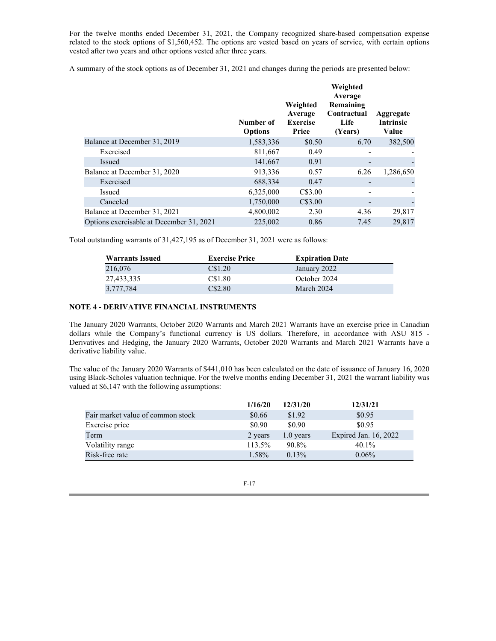For the twelve months ended December 31, 2021, the Company recognized share-based compensation expense related to the stock options of \$1,560,452. The options are vested based on years of service, with certain options vested after two years and other options vested after three years.

A summary of the stock options as of December 31, 2021 and changes during the periods are presented below:

|                                          | Number of<br><b>Options</b> | Weighted<br>Average<br><b>Exercise</b><br>Price | Weighted<br>Average<br>Remaining<br>Contractual<br>Life<br>(Years) | Aggregate<br><b>Intrinsic</b><br>Value |
|------------------------------------------|-----------------------------|-------------------------------------------------|--------------------------------------------------------------------|----------------------------------------|
| Balance at December 31, 2019             | 1,583,336                   | \$0.50                                          | 6.70                                                               | 382,500                                |
| Exercised                                | 811,667                     | 0.49                                            | $\overline{\phantom{a}}$                                           |                                        |
| Issued                                   | 141,667                     | 0.91                                            | -                                                                  |                                        |
| Balance at December 31, 2020             | 913,336                     | 0.57                                            | 6.26                                                               | 1,286,650                              |
| Exercised                                | 688,334                     | 0.47                                            | $\overline{\phantom{a}}$                                           |                                        |
| Issued                                   | 6,325,000                   | C\$3.00                                         | -                                                                  |                                        |
| Canceled                                 | 1,750,000                   | C\$3.00                                         | $\overline{\phantom{a}}$                                           |                                        |
| Balance at December 31, 2021             | 4,800,002                   | 2.30                                            | 4.36                                                               | 29,817                                 |
| Options exercisable at December 31, 2021 | 225,002                     | 0.86                                            | 7.45                                                               | 29,817                                 |

Total outstanding warrants of 31,427,195 as of December 31, 2021 were as follows:

| <b>Warrants Issued</b> | <b>Exercise Price</b> | <b>Expiration Date</b> |
|------------------------|-----------------------|------------------------|
| 216,076                | C\$1.20               | January 2022           |
| 27,433,335             | C\$1.80               | October 2024           |
| 3,777,784              | C\$2.80               | March 2024             |

# **NOTE 4 - DERIVATIVE FINANCIAL INSTRUMENTS**

The January 2020 Warrants, October 2020 Warrants and March 2021 Warrants have an exercise price in Canadian dollars while the Company's functional currency is US dollars. Therefore, in accordance with ASU 815 - Derivatives and Hedging, the January 2020 Warrants, October 2020 Warrants and March 2021 Warrants have a derivative liability value.

The value of the January 2020 Warrants of \$441,010 has been calculated on the date of issuance of January 16, 2020 using Black-Scholes valuation technique. For the twelve months ending December 31, 2021 the warrant liability was valued at \$6,147 with the following assumptions:

|                                   | 1/16/20 | 12/31/20  | 12/31/21              |
|-----------------------------------|---------|-----------|-----------------------|
| Fair market value of common stock | \$0.66  | \$1.92    | \$0.95                |
| Exercise price                    | \$0.90  | \$0.90    | \$0.95                |
| Term                              | 2 years | 1.0 years | Expired Jan. 16, 2022 |
| Volatility range                  | 113.5%  | 90.8%     | $40.1\%$              |
| Risk-free rate                    | 1.58%   | 0.13%     | $0.06\%$              |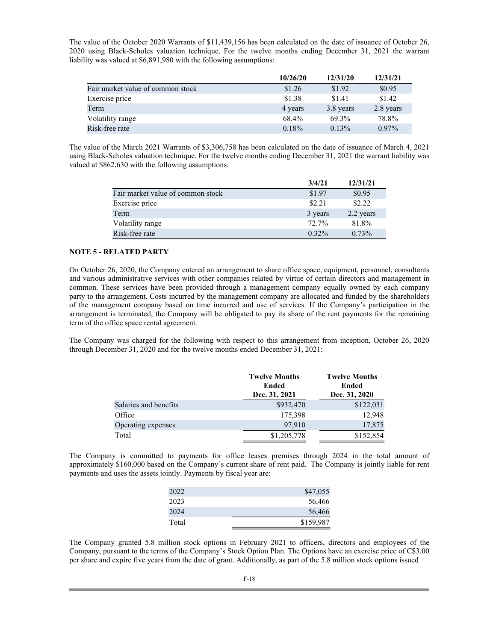The value of the October 2020 Warrants of \$11,439,156 has been calculated on the date of issuance of October 26, 2020 using Black-Scholes valuation technique. For the twelve months ending December 31, 2021 the warrant liability was valued at \$6,891,980 with the following assumptions:

|                                   | 10/26/20 | 12/31/20  | 12/31/21  |
|-----------------------------------|----------|-----------|-----------|
| Fair market value of common stock | \$1.26   | \$1.92    | \$0.95    |
| Exercise price                    | \$1.38   | \$1.41    | \$1.42    |
| Term                              | 4 years  | 3.8 years | 2.8 years |
| Volatility range                  | 68.4%    | 69.3%     | 78.8%     |
| Risk-free rate                    | 0.18%    | $0.13\%$  | $0.97\%$  |

The value of the March 2021 Warrants of \$3,306,758 has been calculated on the date of issuance of March 4, 2021 using Black-Scholes valuation technique. For the twelve months ending December 31, 2021 the warrant liability was valued at \$862,630 with the following assumptions:

|                                   | 3/4/21   | 12/31/21  |
|-----------------------------------|----------|-----------|
| Fair market value of common stock | \$1.97   | \$0.95    |
| Exercise price                    | \$2.21   | \$2.22    |
| Term                              | 3 years  | 2.2 years |
| Volatility range                  | 72.7%    | 81.8%     |
| Risk-free rate                    | $0.32\%$ | $0.73\%$  |

### **NOTE 5 - RELATED PARTY**

On October 26, 2020, the Company entered an arrangement to share office space, equipment, personnel, consultants and various administrative services with other companies related by virtue of certain directors and management in common. These services have been provided through a management company equally owned by each company party to the arrangement. Costs incurred by the management company are allocated and funded by the shareholders of the management company based on time incurred and use of services. If the Company's participation in the arrangement is terminated, the Company will be obligated to pay its share of the rent payments for the remaining term of the office space rental agreement.

The Company was charged for the following with respect to this arrangement from inception, October 26, 2020 through December 31, 2020 and for the twelve months ended December 31, 2021:

|                       | <b>Twelve Months</b><br>Ended<br>Dec. 31, 2021 | <b>Twelve Months</b><br>Ended<br>Dec. 31, 2020 |
|-----------------------|------------------------------------------------|------------------------------------------------|
| Salaries and benefits | \$932,470                                      | \$122,031                                      |
| Office                | 175,398                                        | 12,948                                         |
| Operating expenses    | 97,910                                         | 17,875                                         |
| Total                 | \$1,205,778                                    | \$152,854                                      |

The Company is committed to payments for office leases premises through 2024 in the total amount of approximately \$160,000 based on the Company's current share of rent paid. The Company is jointly liable for rent payments and uses the assets jointly. Payments by fiscal year are:

| 2022  | \$47,055  |
|-------|-----------|
| 2023  | 56,466    |
| 2024  | 56,466    |
| Total | \$159,987 |

The Company granted 5.8 million stock options in February 2021 to officers, directors and employees of the Company, pursuant to the terms of the Company's Stock Option Plan. The Options have an exercise price of C\$3.00 per share and expire five years from the date of grant. Additionally, as part of the 5.8 million stock options issued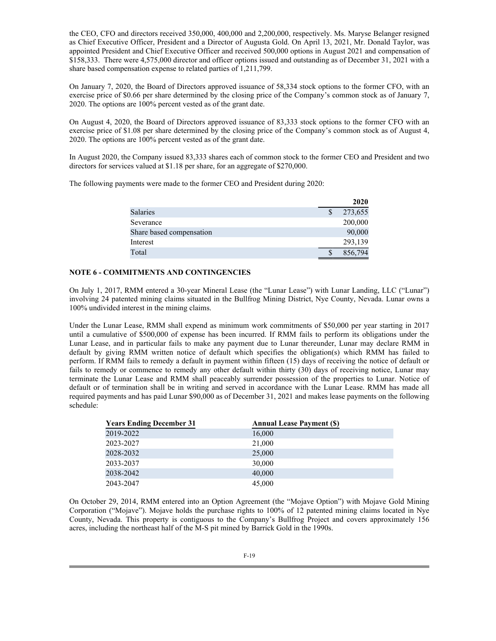the CEO, CFO and directors received 350,000, 400,000 and 2,200,000, respectively. Ms. Maryse Belanger resigned as Chief Executive Officer, President and a Director of Augusta Gold. On April 13, 2021, Mr. Donald Taylor, was appointed President and Chief Executive Officer and received 500,000 options in August 2021 and compensation of \$158,333. There were 4,575,000 director and officer options issued and outstanding as of December 31, 2021 with a share based compensation expense to related parties of 1,211,799.

On January 7, 2020, the Board of Directors approved issuance of 58,334 stock options to the former CFO, with an exercise price of \$0.66 per share determined by the closing price of the Company's common stock as of January 7, 2020. The options are 100% percent vested as of the grant date.

On August 4, 2020, the Board of Directors approved issuance of 83,333 stock options to the former CFO with an exercise price of \$1.08 per share determined by the closing price of the Company's common stock as of August 4, 2020. The options are 100% percent vested as of the grant date.

In August 2020, the Company issued 83,333 shares each of common stock to the former CEO and President and two directors for services valued at \$1.18 per share, for an aggregate of \$270,000.

The following payments were made to the former CEO and President during 2020:

|                          | 2020    |
|--------------------------|---------|
| <b>Salaries</b>          | 273,655 |
| Severance                | 200,000 |
| Share based compensation | 90,000  |
| Interest                 | 293,139 |
| Total                    | 856,794 |

## **NOTE 6 - COMMITMENTS AND CONTINGENCIES**

On July 1, 2017, RMM entered a 30-year Mineral Lease (the "Lunar Lease") with Lunar Landing, LLC ("Lunar") involving 24 patented mining claims situated in the Bullfrog Mining District, Nye County, Nevada. Lunar owns a 100% undivided interest in the mining claims.

Under the Lunar Lease, RMM shall expend as minimum work commitments of \$50,000 per year starting in 2017 until a cumulative of \$500,000 of expense has been incurred. If RMM fails to perform its obligations under the Lunar Lease, and in particular fails to make any payment due to Lunar thereunder, Lunar may declare RMM in default by giving RMM written notice of default which specifies the obligation(s) which RMM has failed to perform. If RMM fails to remedy a default in payment within fifteen (15) days of receiving the notice of default or fails to remedy or commence to remedy any other default within thirty (30) days of receiving notice, Lunar may terminate the Lunar Lease and RMM shall peaceably surrender possession of the properties to Lunar. Notice of default or of termination shall be in writing and served in accordance with the Lunar Lease. RMM has made all required payments and has paid Lunar \$90,000 as of December 31, 2021 and makes lease payments on the following schedule:

| <b>Years Ending December 31</b> | <b>Annual Lease Payment (\$)</b> |
|---------------------------------|----------------------------------|
| 2019-2022                       | 16,000                           |
| 2023-2027                       | 21,000                           |
| 2028-2032                       | 25,000                           |
| 2033-2037                       | 30,000                           |
| 2038-2042                       | 40,000                           |
| 2043-2047                       | 45,000                           |

On October 29, 2014, RMM entered into an Option Agreement (the "Mojave Option") with Mojave Gold Mining Corporation ("Mojave"). Mojave holds the purchase rights to 100% of 12 patented mining claims located in Nye County, Nevada. This property is contiguous to the Company's Bullfrog Project and covers approximately 156 acres, including the northeast half of the M-S pit mined by Barrick Gold in the 1990s.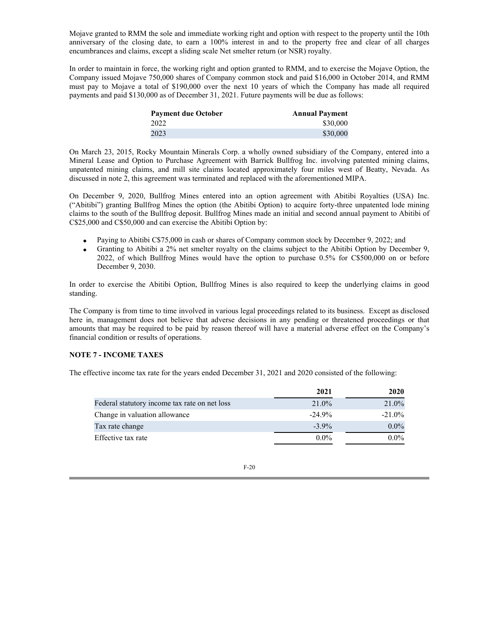Mojave granted to RMM the sole and immediate working right and option with respect to the property until the 10th anniversary of the closing date, to earn a 100% interest in and to the property free and clear of all charges encumbrances and claims, except a sliding scale Net smelter return (or NSR) royalty.

In order to maintain in force, the working right and option granted to RMM, and to exercise the Mojave Option, the Company issued Mojave 750,000 shares of Company common stock and paid \$16,000 in October 2014, and RMM must pay to Mojave a total of \$190,000 over the next 10 years of which the Company has made all required payments and paid \$130,000 as of December 31, 2021. Future payments will be due as follows:

| <b>Payment due October</b> | <b>Annual Payment</b> |
|----------------------------|-----------------------|
| 2022                       | \$30,000              |
| 2023                       | \$30,000              |

On March 23, 2015, Rocky Mountain Minerals Corp. a wholly owned subsidiary of the Company, entered into a Mineral Lease and Option to Purchase Agreement with Barrick Bullfrog Inc. involving patented mining claims, unpatented mining claims, and mill site claims located approximately four miles west of Beatty, Nevada. As discussed in note 2, this agreement was terminated and replaced with the aforementioned MIPA.

On December 9, 2020, Bullfrog Mines entered into an option agreement with Abitibi Royalties (USA) Inc. ("Abitibi") granting Bullfrog Mines the option (the Abitibi Option) to acquire forty-three unpatented lode mining claims to the south of the Bullfrog deposit. Bullfrog Mines made an initial and second annual payment to Abitibi of C\$25,000 and C\$50,000 and can exercise the Abitibi Option by:

- Paying to Abitibi C\$75,000 in cash or shares of Company common stock by December 9, 2022; and  $\bullet$
- Granting to Abitibi a 2% net smelter royalty on the claims subject to the Abitibi Option by December 9, 2022, of which Bullfrog Mines would have the option to purchase 0.5% for C\$500,000 on or before December 9, 2030.  $\bullet$

In order to exercise the Abitibi Option, Bullfrog Mines is also required to keep the underlying claims in good standing.

The Company is from time to time involved in various legal proceedings related to its business. Except as disclosed here in, management does not believe that adverse decisions in any pending or threatened proceedings or that amounts that may be required to be paid by reason thereof will have a material adverse effect on the Company's financial condition or results of operations.

## **NOTE 7 - INCOME TAXES**

The effective income tax rate for the years ended December 31, 2021 and 2020 consisted of the following:

|                                               | 2021      | 2020      |
|-----------------------------------------------|-----------|-----------|
| Federal statutory income tax rate on net loss | $21.0\%$  | 21.0%     |
| Change in valuation allowance                 | $-24.9\%$ | $-21.0\%$ |
| Tax rate change                               | $-3.9\%$  | $0.0\%$   |
| Effective tax rate                            | $0.0\%$   | $0.0\%$   |